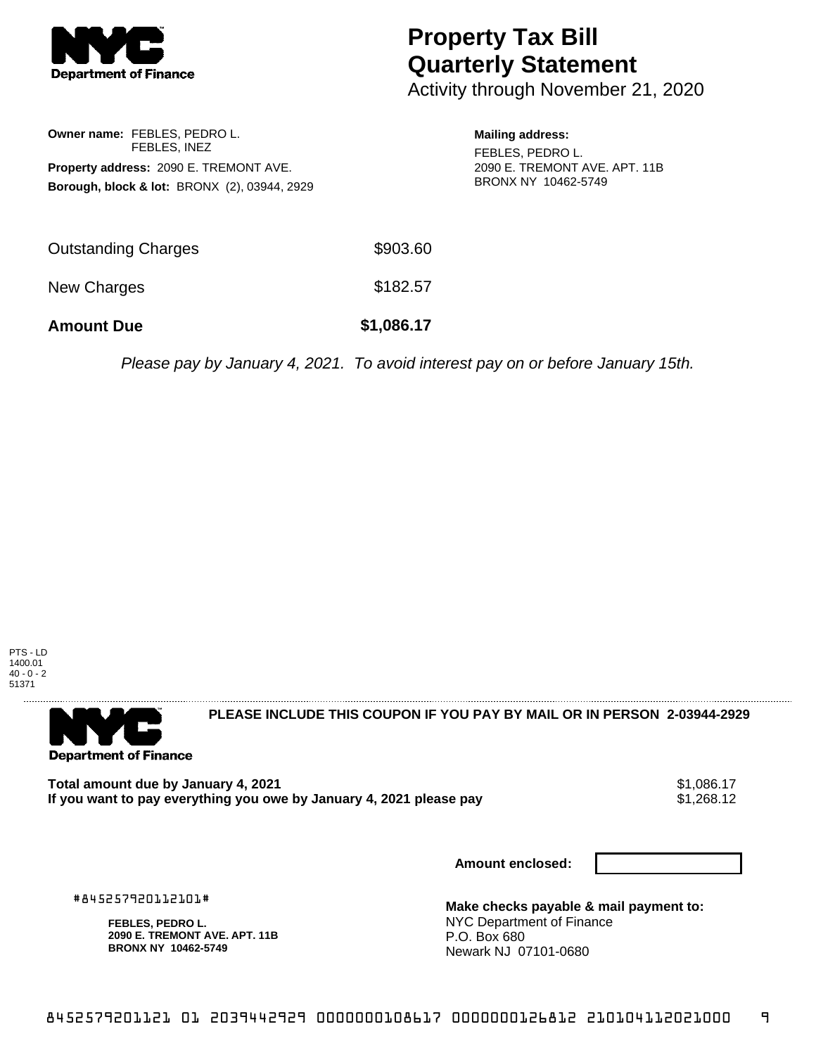

# **Property Tax Bill Quarterly Statement**

Activity through November 21, 2020

## **Owner name:** FEBLES, PEDRO L. FEBLES, INEZ **Property address:** 2090 E. TREMONT AVE. **Borough, block & lot:** BRONX (2), 03944, 2929

### **Mailing address:**

FEBLES, PEDRO L. 2090 E. TREMONT AVE. APT. 11B BRONX NY 10462-5749

| <b>Amount Due</b>   | \$1,086.17 |
|---------------------|------------|
| New Charges         | \$182.57   |
| Outstanding Charges | \$903.60   |

Please pay by January 4, 2021. To avoid interest pay on or before January 15th.





**PLEASE INCLUDE THIS COUPON IF YOU PAY BY MAIL OR IN PERSON 2-03944-2929** 

Total amount due by January 4, 2021<br>If you want to pay everything you owe by January 4, 2021 please pay **ship in the set of the set of the s**1,268.12 If you want to pay everything you owe by January 4, 2021 please pay

**Amount enclosed:**

#845257920112101#

**FEBLES, PEDRO L. 2090 E. TREMONT AVE. APT. 11B BRONX NY 10462-5749**

**Make checks payable & mail payment to:** NYC Department of Finance P.O. Box 680 Newark NJ 07101-0680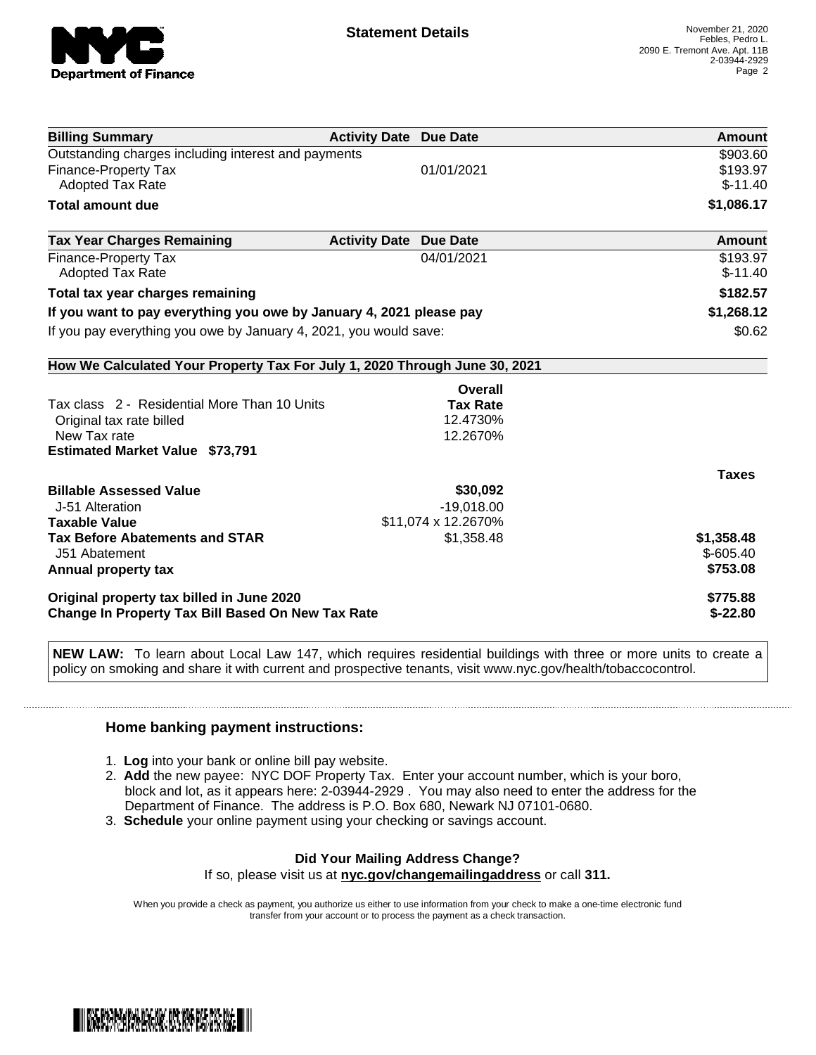

| <b>Billing Summary</b>                                                     | <b>Activity Date Due Date</b> |                     | Amount        |
|----------------------------------------------------------------------------|-------------------------------|---------------------|---------------|
| Outstanding charges including interest and payments                        |                               |                     | \$903.60      |
| <b>Finance-Property Tax</b>                                                |                               | 01/01/2021          | \$193.97      |
| Adopted Tax Rate                                                           |                               |                     | $$-11.40$     |
| <b>Total amount due</b>                                                    |                               |                     | \$1,086.17    |
| <b>Tax Year Charges Remaining</b>                                          | <b>Activity Date</b>          | <b>Due Date</b>     | <b>Amount</b> |
| <b>Finance-Property Tax</b>                                                |                               | 04/01/2021          | \$193.97      |
| <b>Adopted Tax Rate</b>                                                    |                               |                     | $$-11.40$     |
| Total tax year charges remaining                                           |                               |                     | \$182.57      |
| If you want to pay everything you owe by January 4, 2021 please pay        |                               | \$1,268.12          |               |
| If you pay everything you owe by January 4, 2021, you would save:          |                               | \$0.62              |               |
| How We Calculated Your Property Tax For July 1, 2020 Through June 30, 2021 |                               |                     |               |
|                                                                            |                               | Overall             |               |
| Tax class 2 - Residential More Than 10 Units                               |                               | <b>Tax Rate</b>     |               |
| Original tax rate billed                                                   |                               | 12.4730%            |               |
| New Tax rate                                                               |                               | 12.2670%            |               |
| <b>Estimated Market Value \$73,791</b>                                     |                               |                     |               |
|                                                                            |                               |                     | <b>Taxes</b>  |
| <b>Billable Assessed Value</b>                                             |                               | \$30,092            |               |
| J-51 Alteration                                                            |                               | $-19,018.00$        |               |
| <b>Taxable Value</b>                                                       |                               | \$11,074 x 12.2670% |               |
| <b>Tax Before Abatements and STAR</b>                                      |                               | \$1,358.48          | \$1,358.48    |
| J51 Abatement                                                              |                               |                     | $$-605.40$    |
| Annual property tax                                                        |                               |                     | \$753.08      |
| Original property tax billed in June 2020                                  |                               |                     | \$775.88      |
| Change In Property Tax Bill Based On New Tax Rate                          |                               |                     | $$-22.80$     |

**NEW LAW:** To learn about Local Law 147, which requires residential buildings with three or more units to create a policy on smoking and share it with current and prospective tenants, visit www.nyc.gov/health/tobaccocontrol.

### **Home banking payment instructions:**

- 1. **Log** into your bank or online bill pay website.
- 2. **Add** the new payee: NYC DOF Property Tax. Enter your account number, which is your boro, block and lot, as it appears here: 2-03944-2929 . You may also need to enter the address for the Department of Finance. The address is P.O. Box 680, Newark NJ 07101-0680.
- 3. **Schedule** your online payment using your checking or savings account.

#### **Did Your Mailing Address Change?** If so, please visit us at **nyc.gov/changemailingaddress** or call **311.**

When you provide a check as payment, you authorize us either to use information from your check to make a one-time electronic fund transfer from your account or to process the payment as a check transaction.